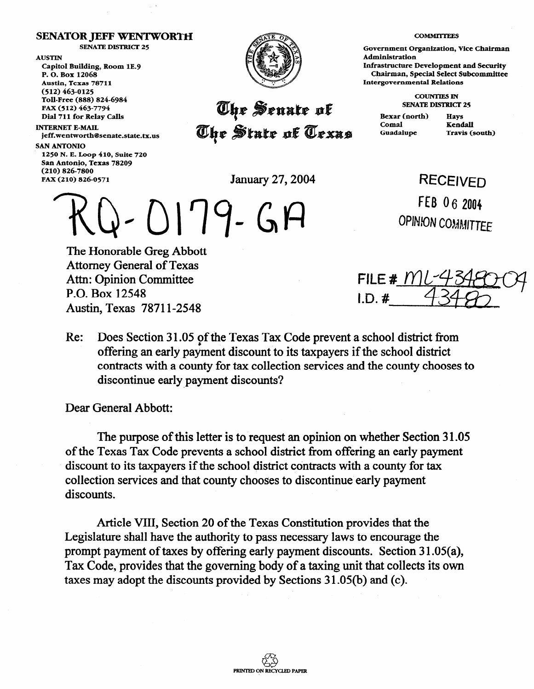## **SENATOR JEFF WENTWORTH**

**SENATE DISTRICT 25** 

**AUSTIN Capitol Building, Room lE.9 P. 0. Box 12068 Austin, Texas 78711 (512) 463-0125 Toll-Free (888) 824-6984 FAX (512) 463-7794 Dial 711 for Relay Calls** 

**INTERNET E-MAIL jeff.wentworth@senate.state.tx.us** 

**SAN ANTONIO** 

**1250 N. E. Loop 410, Suite 720**  San Antonio, Texas 78209 **(210) 826-7800 FAR (210) 826-0571** January 27,2004



## The Senate of **The State of Texas**

**COMMnTEEs** 

**Government Organization, Vice Chairman Administration Infrastructure Development and Security Chairman, Special Select Subcommittee Intergovernmental Relations** 

> **COUNTIES IN SENATE DISTRICT 25**

**Bexar (north) Hays**  Comal **Kendall Guadalupe Travis (south)** 

RECEIVED

FEB 06 2004

**OPINION COMMITTEE** 

Q-0179-GA

The Honorable Greg Abbott Attorney General of Texas Attn: Opinion Committee P.O. Box 12548 Austin, Texas 78711-2548

FILE #  $|Y|$  $LD.$ #

Re: Does Section 31.05 of the Texas Tax Code prevent a school district from offering an early payment discount to its taxpayers if the school district contracts with a county for tax collection services and the county chooses to discontinue early payment discounts?

Dear General Abbott:

The purpose of this letter is to request an opinion on whether Section 31.05 of the Texas Tax Code prevents a school district from offering an early payment discount to its taxpayers if the school district contracts with a county for tax collection services and that county chooses to discontinue early payment discounts.

Article VIII, Section 20 of the Texas Constitution provides that the Legislature shall have the authority to pass necessary laws to encourage the prompt payment of taxes by offering early payment discounts. Section 31.05(a), Tax Code, provides that the governing body of a taxing unit that collects its own taxes may adopt the discounts provided by Sections 31.05(b) and (c).